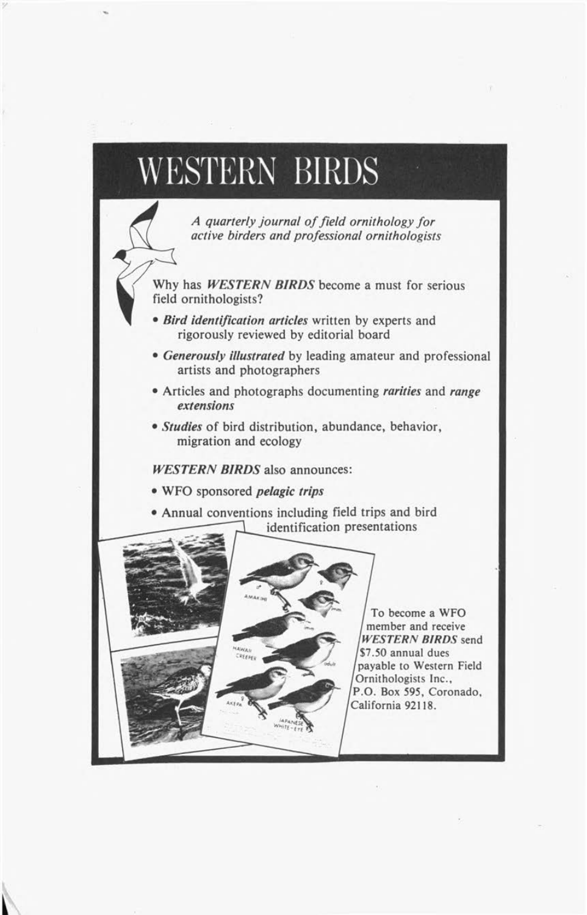## **WESTERN BIRDS**

*A q u a rterly jo u rn a l o f f ie ld o rn ith o lo g y f o r active birders and professional ornithologists* 

Why has *WESTERN BIRDS* become a must for serious field ornithologists?

- $\bullet$  *Bird identification articles* written by experts and rigorously reviewed by editorial board
- Generously illustrated by leading amateur and professional artists and photographers
- Articles and photographs documenting *rarities* and *range extensions*
- *Studies* of bird distribution, abundance, behavior, migration and ecology

*WESTERN BIRDS* also announces:

- WFO sponsored *pelagic trips*
- Annual conventions including field trips and bird identification presentations



**To become a WFO member and receive** *WESTERN BIRDS* **send \$7.50 annual dues payable to Western Field Ornithologists Inc., P.O. Box 595, Coronado, California 92118.**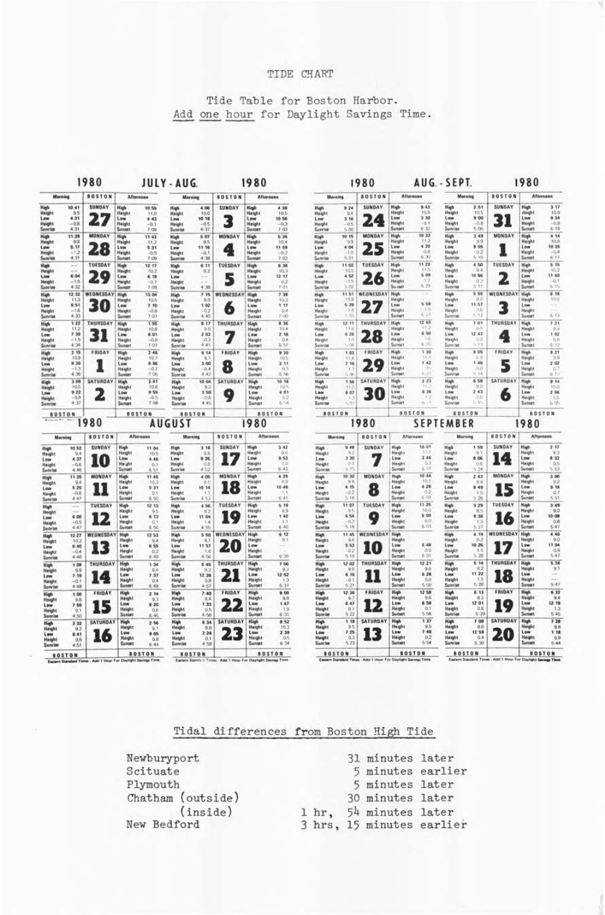## TIDE CHART

Tide Table for Boston Harbor. Add one hour for Daylight Savings Time.

| Morning                                                  |                                         | 1980                  |                                                                |                                                   | JULY-AUG.                                                       |                                                                                            | 1980                  |                                                                |                                             |                                                           | 1980                                       |                       |                                                                 |                                            |                                                                 | AUG. - SEPT.                           |                      | 1980                                                                  |                                         |  |
|----------------------------------------------------------|-----------------------------------------|-----------------------|----------------------------------------------------------------|---------------------------------------------------|-----------------------------------------------------------------|--------------------------------------------------------------------------------------------|-----------------------|----------------------------------------------------------------|---------------------------------------------|-----------------------------------------------------------|--------------------------------------------|-----------------------|-----------------------------------------------------------------|--------------------------------------------|-----------------------------------------------------------------|----------------------------------------|----------------------|-----------------------------------------------------------------------|-----------------------------------------|--|
|                                                          |                                         | <b>BOSTON</b>         | Afternoon                                                      |                                                   | Morning                                                         |                                                                                            | <b>BOSTON</b>         | Afternoon                                                      |                                             |                                                           | <b>BOSTON</b><br>Morning                   |                       | Afternoon                                                       |                                            | Morning                                                         |                                        | <b>BOSTON</b>        | Afternoon                                                             |                                         |  |
| High<br>Height<br>Low<br>Height<br>Sunrise               | 10.41<br>9.5<br>4:31<br>$-0.8$<br>4:31  | SUNDAY<br>27          | <b>High</b><br>Height<br>Low<br>Haight<br>Sunset               | 10.55<br>11,0<br>4:43<br>$-0.1$<br>2.09           | High<br><b>Height</b><br>Low<br><b>Height</b><br><b>Sunrise</b> | 4.06<br>10.0<br>10.18<br>$-0.5$<br>4.37                                                    | SUNDAY<br>3           | High<br>Height<br>Low<br>Height<br>Sumset                      | 4.38<br>10.5<br>10.56<br>$-0.3$<br>7.03     | High<br>Height<br>Low<br><b>Height</b><br>Sunrise         | 9 24<br>9.4<br>3.16<br>$-0.5$<br>5.00      | SUNDAY<br>24          | <b>High</b><br><b>Height</b><br>Low<br><b>Height</b><br>Sunset  | 9.43<br>10.8<br>3 30<br>$-0.1$<br>6.32     | High<br>Height<br>Low<br>Height<br>Sonrise                      | 2.51<br>10.5<br>9.00<br>$-0.8$<br>5.06 | SUNDAY<br>31         | <b>High</b><br>rleight<br>Low<br><b>Height</b><br>Sunset              | 3.17<br>10.9<br>9 34<br>$-0.8$<br>6:19  |  |
| High<br><b>Height</b><br>Low<br>Height<br>Sunris         | 11.28<br>9.9<br>5.17<br>$-1.2$<br>4:31  | <b>MONDAY</b><br>28   | <b>High</b><br><b>Height</b><br>Low<br><b>Height</b><br>Sunset | 11.43<br>11.2<br>6.31<br>$-0.5$<br>$7 - 09$       | <b>Niek</b><br>Height<br>Low<br><b>Height</b><br>Sunrise        | 5.07<br>9.5<br>11 16<br>$-0.1$<br>4:38                                                     | <b>MONDAY</b><br>œ    | <b>High</b><br><b>Height</b><br>Low<br><b>Height</b><br>Sunset | 5.36<br>10.4<br>11 59<br>$-0.7$<br>$7 - 02$ | High<br>Height<br>Low<br>Height<br>Sunrise                | 10.15<br>9.9<br>4 04<br>$-1,0$<br>5/01     | MONDAY                | <b>Hugh</b><br>Height<br>Low<br><b>Heigh</b><br>Summer          | 10.33<br>11.2<br>4 20<br>$-0.6$<br>6.30    | High<br>Height<br>Low<br>Height<br>Sonrige                      | 3.49<br>9.9<br>955<br>-0.3<br>5/10     | MONDAY               | High<br>Height<br>Low<br><b>Height</b><br>Sonte                       | 4.14<br>10.6<br>10 35<br>$-0.4$<br>6:17 |  |
| High<br>Haight<br>Low<br>Height<br>Sonrise               | ÷<br>6:04<br>$-1.5$<br>4.32             | THESDAY<br>29         | High<br><b>Height</b><br>Low<br><b>Height</b><br>Sunger        | 12 17<br>10.2<br>6.18<br>$-0.7$<br>7.08           | <b>High</b><br>Height<br>Low<br>Height<br>Sunrise               | 6.11<br>9.2<br>$\frac{1}{2} \left( \frac{1}{2} \right) \left( \frac{1}{2} \right)$<br>4.38 | TUESDAY               | <b>High</b><br><b>Height</b><br>Low<br><b>Height</b><br>Sunset | 6.38<br>10.3<br>12.17<br>0.2<br>201         | High<br>Haight<br>5. cm<br>Height<br>Sunrise              | 11 02<br>10.5<br>4.52<br>$-1.5$<br>5.02    | <b>TUESDAY</b><br>26  | High<br>Heigh<br>Low<br><b>Height</b><br>Su.net                 | 11.22<br>115<br>\$09<br>6.29               | <b>High</b><br>Height<br>Low<br>Height<br>Sunrise               | 4 50<br>0.8<br>10 56<br>0.3<br>5.33    | TUESDAY<br>2         | <b>High</b><br>Height<br>Low<br>Height<br>Sunter                      | 5.15<br>10.2<br>11:40<br>$-0.1$<br>6.15 |  |
| High<br><b>Haisht</b><br>Low<br>Height<br>Sunrise        | 12:32<br>11.3<br>6.51<br>$-1.6$<br>4:33 | WEDNESDAY<br>30       | <b>High</b><br><b>Height</b><br>Low<br>Height<br>Sunset        | 13.04<br>10.5<br>7.10<br>$-0.8$<br>7:07           | High<br><b>Height</b><br>Low<br>Height<br>Sunrise               | 7:15<br>9.0<br>1.02<br>$-02$<br>4:40                                                       | WEDNESDAY<br>6        | <b>High</b><br><b>Height</b><br>Low<br><b>Height</b><br>Sunset | 7.98<br>10.3<br>1 17<br>0.4<br>7.00         | High<br><b>Height</b><br>1.ew<br><b>Height</b><br>Sunrise | 1151<br>10.9<br>5.36<br>$-1.8$<br>$7 - 01$ | WEONESDAY             | <b>High</b><br><b>Height</b><br>Low<br><b>Height</b><br>Sunse   | 5.59<br>$-1.5$<br>6.27                     | <b>Hagh</b><br><b>Height</b><br>Low.<br>Height<br>Scoring       | 5.55<br>$-0.0$<br>11.57<br>00<br>4.72  | WEDNESDAY<br>3       | <b>High</b><br>Height<br>Low<br><b>Height</b><br>Sunset               | 6 18<br>10.0<br>6, 13                   |  |
| High<br>Height<br>Lowe<br>Height<br>Sonrite              | 122<br>11.2<br>7.39<br>$-1.5$<br>4:34   | THURSDAY<br>31        | High<br><b>Height</b><br>Low<br><b>Height</b><br><b>Sunset</b> | 1.55<br>10.6<br>8.01<br>$-0.8$<br>7.07            | High<br>Height<br>Low<br>Height<br>Sunrite                      | 8.17<br>90<br>2.03<br>$-0.3$<br>$4 - 41$                                                   | THURSDAY              | <b>High</b><br>Height<br>Low<br>Height<br>Sunset               | 836<br>10.4<br>2.18<br>0.4<br>6.53          | <b>High</b><br><b>Haight</b><br>Low<br>Height<br>Sunrise  | 12 11<br>9.9.3<br>6 26<br>1.8<br>7.04      | THURSDAY<br>28        | <b>High</b><br><b>Height</b><br>Low<br><b>Height</b><br>Scotart | 12 40<br>11.3<br>6.50<br>1.6<br>6.30       | <b>Haph</b><br>Haight<br>Low<br><b>Havons</b><br>Sizinitist     | 7.01<br>R<br>12 43<br>1030<br>1.73     | THURSDAY<br>4        | <b>High</b><br><b>Height</b><br>Low<br><b>Height</b><br>Sunset        | 7.21<br>9.9<br>1.02<br>0.8<br>0.12      |  |
| High<br><b>Height</b><br>Low<br>Height<br>Sunrise        | 2.15<br>10.9<br>6.30<br>$-1.3$<br>4.36  | FRIDAY                | <b>High</b><br>Height<br>Low<br>Height<br>Sunset               | 2.46<br>to<br>8.56<br>$-0.7$<br>7,05              | High<br>Height<br>Low<br>Height<br>Sunrise                      | 914<br>9.1<br>300<br>$-0.4$<br>4:42                                                        | FRIDAY<br>8           | <b>High</b><br>Haight<br>Low<br>Height<br>Sunset               | 9.30<br>10.5<br>3.11<br>0.3<br>6.56         | <b>High</b><br>Height<br>Low<br>Height<br>Sunrise         | 1.03<br>11'4<br>7.16<br>37<br>5.00         | FRIDAY<br>10          | High<br>Height<br>Low<br><b>Height</b><br>Sunset                | 1.30<br>11.3<br>7.42<br>6.22               | <b>Hash</b><br>Height<br>Low<br><b>Height</b><br>Sunrise        | # 05<br>E.3<br>1.46<br>0.0<br>5, 14    | FRIDAY<br>5          | <b>High</b><br>Height<br>Low<br>Height<br>Summer                      | 821<br>9.9<br>2 02<br>02<br>6.10        |  |
| High<br><b>Height</b><br>Low<br><b>Height</b><br>Sunrise | 3.09<br>10.5<br>9 22<br>$-0.9$<br>4.37  | SATURDAY<br>z         | <b>High</b><br>Haight<br>Low<br>Height<br>Sunset               | 3.41<br>10.6<br>9.55<br>$-0.5$<br>7 <sub>04</sub> | <b>High</b><br><b>Height</b><br>Low<br>Height<br>Sunrise        | 10 04<br>9.2<br>3 50<br>$-0.6$<br>4.45                                                     | <b>SATURDAY</b><br>о  | <b>High</b><br>Height<br>Low<br>Height<br>Sunset               | 10.10<br>10.5<br>4 01<br>0.2<br>8.44        | <b>High</b><br>Height<br>Lew<br>Height<br>Sunrise         | 156<br>114<br>8 07<br>- 5<br>5.01          | SATURDA<br>30         | <b>High</b><br><b>Height</b><br>Low<br>Height<br>Suntet         | 2 23<br>8 36<br>4x > 1                     | Hagh<br><b>Height</b><br>Low<br>Height<br>Sunrise               | 8.58<br>9.0<br>2.43<br>0.0<br>6.35     | <b>SATURDAY</b><br>6 | <b>High</b><br>Height<br>Low<br>Height<br>Sunset                      | 9.14<br>10.0<br>2 56<br>0.5<br>6.06     |  |
|                                                          | <b>BOSTON</b>                           | <b>BOSTON</b><br>1980 |                                                                |                                                   | <b>BOSTON</b><br><b>AUGUST</b>                                  |                                                                                            | <b>BOSTON</b><br>1980 |                                                                |                                             | <b>BOSTON</b><br>1980                                     |                                            | <b>BOSTON</b>         |                                                                 | <b>BOSTON</b><br><b>SEPTEMBER</b>          |                                                                 | <b>BOSTON</b><br>1980                  |                      |                                                                       |                                         |  |
|                                                          | Maceing                                 | <b>BOSTON</b>         |                                                                | Afternoon                                         |                                                                 | Morning                                                                                    | <b>BOSTON</b>         |                                                                | Afternoon                                   |                                                           | Morning                                    | <b>BOSTON</b>         |                                                                 | Afternoon                                  |                                                                 | Morning                                | <b>BOSTON</b>        |                                                                       | <b>Afternoon</b>                        |  |
| <b>High</b><br>Height<br>Low<br>Height<br>Sunrise        | 10 52<br>6.8<br>4:37<br>$-0.6$<br>4:46  | <b>SUNDAY</b><br>IО   | High<br>Height<br>Low<br>Height<br>Sunset                      | 11.04<br>10.6<br>4:46<br>0.1<br>6.51              | <b>High</b><br>Height<br>Low<br>Height<br>Sunrise               | 3.18<br>消兵<br>9.26<br>0.8<br>4.52                                                          | SUNDAY                | High<br>Height<br>Low<br>Height<br>Summer                      | 3.42<br>900<br>053<br>10<br>6.43            | <b>High</b><br>Height<br>Low<br><b>Haight</b><br>Sunrise  | 9.48<br>3 30<br>O.1<br>$+ 15$              | SUNDAY                | High<br><b>Height</b><br>Low<br><b>Height</b><br>Sunse          | 10 01<br>3 44<br>0.3<br>6.07               | High<br>Height<br>Low<br>Height<br>Sunrite                      | 1.59<br>01<br># 06<br>0.0<br>6.24      | SUNDAY<br>14         | <b>High</b><br>Haight<br>Low<br><b>Height</b><br>Sunset               | 2.17<br>9.3<br>8.32<br>0.5<br>5.53      |  |
| High<br>Height<br>Low<br><b>Height</b><br><b>Sunrise</b> | 11:35<br>9A<br>5.20<br>$-0.6$<br>4/47   | <b>MONDAY</b><br>U    | <b>High</b><br>Height<br>Low<br>Height<br>Sunset               | 11.46<br>10.3<br>5.31<br>0.1<br>6.50              | <b>High</b><br><b>Height</b><br>Low<br>Height<br>Sunrise        | 4.05<br>言り<br>10 14<br>1.1<br>4.53                                                         | MONDAY<br>IX.         | <b>High</b><br>Height<br>Low<br><b>Height</b><br>Sunset        | 4.29<br>8.9<br>10 46<br>1.3<br>6.41         | High<br>Height<br>Low<br>Height<br>Sunrite                | 10 30<br>9.4<br>4 15<br>$-0.2$<br>5.18     | MONDAY<br>8           | High<br>Height<br>Low<br>Height<br>Sunse                        | 10 44<br>10.3<br>4.28<br>0.2<br>6.03       | High<br>Height<br>Low<br>Height<br>Sunrise                      | 2.43<br>取消<br>\$49<br>1.0<br>5:26      | <b>MONDAY</b>        | <b>High</b><br><b>Height</b><br>Low<br><b>Haught</b><br>Sonset        | 300<br>9.2<br>9.18<br>Q, 7<br>5,51      |  |
| High<br>Height<br>Low<br>Height<br><b>Sunrise</b>        | --<br>6.00<br>$-0.5$<br>4:47            | TUESDAY<br>12         | <b>High</b><br><b>Height</b><br>Low<br>Height<br>Summer        | 12.13<br>9.5<br>6:13<br>0.1<br>6:50               | High<br>Height<br>Low<br><b>Height</b><br>Sunrise               | 4 56<br>8.2<br>11 04<br>1.4<br>4.55                                                        | TUESDAY<br>O          | High<br><b>Height</b><br>Low<br>Height<br>Sunset               | 5.19<br>8.9<br>1.42<br>1.1<br>6:40          | High<br><b>Height</b><br>Low<br>Height<br>Sunrise         | 11 07<br>6.5<br>4 54<br>$-0.3$<br>5:18     | TUESDAY<br>9          | <b>High</b><br>Height<br>Low<br>Height<br>Summer                | 11 25<br>300<br>5 09<br>0.0<br>6.01        | High<br><b>Height</b><br>Low<br>Height<br>Sunrise               | 3 29<br>8.5<br>9.36<br>1.3<br>5.27     | TUESDAY<br>16        | <b>High</b><br><b>Height</b><br>Low<br>Height<br>Sunset               | 3.49<br>9.0<br>10.08<br>0.8<br>5:47     |  |
| <b>High</b><br><b>Height</b><br>Low<br>Height<br>Sunrise | 12:27<br>102<br>6:40<br>$-0.4$<br>4:48  | WEDNESDAY<br>13       | <b>High</b><br>Height<br>Low<br>Height<br>Sunter               | 12 53<br>9.4<br>6.55<br>0.2<br>6.49               | High<br>Height<br>Low<br><b>Height</b><br>Sunrise               | 5 50<br>8.1<br>11.57<br>1.4<br>4.56                                                        | <b>WEDNESDAY</b>      | <b>High</b><br><b>Height</b><br>Low<br>Haight<br>Sunter        | 6 12<br>0.1<br>6.38                         | <b>High</b><br>Height<br>Low<br>Height<br>Sunrise         | 11 45<br>9.6<br>5.53<br>$-0.2$<br>5.19     | <b>WEDNESDAY</b><br>Ю | High<br><b>Height</b><br>Low<br>Height<br>Sonset                | 5.48<br>0.0<br>6.01                        | <b>High</b><br><b>Height</b><br>Low<br><b>Haight</b><br>Sunrise | 4.19<br>8.2<br>10.26<br>1.5<br>5.28    | <b>WEDNESDAY</b>     | <b>High</b><br><b>Height</b><br>Low<br>Height<br>Suinset              | 4.40<br>9.0<br>11.04<br>0.9<br>5:47     |  |
| High<br>Height<br>Low<br>Height<br>Sonrise               | 1.08<br>9.9<br>7.19<br>$-0.1$<br>4:48   | THURSDAY<br>14        | High<br>Height<br>Low<br><b>Height</b><br>Sunset               | 1:34<br>9.4<br>7.37<br>0.4<br>6:48                | High<br>Height<br>Low<br>Height<br>Sunrise                      | 6.45<br>長 3<br>12 38<br>$-0.9$<br>4:57                                                     | <b>THURSDAY</b><br>z. | High<br>Height<br>Low<br><b>Height</b><br>Sunset               | 7.06<br>9.3<br>12.52<br>1.3<br>6:37         | <b>High</b><br>Height<br>Low<br>Height<br>Sunrise         | 12 02<br>9.9<br>6 10<br>$-0.1$<br>5'21     | THURSDAY              | <b>High</b><br>Height<br>Low<br>Height<br>Sunset                | 12 21<br>9.6<br>6.28<br>0.0<br>5.58        | <b>High</b><br><b>Height</b><br>Low<br>Height<br>Sunrise        | 5.14<br>8.2<br>11 22<br>1.5<br>5.28    | THURSDAY<br>18       | <b>High</b><br>Height<br>Low<br><b>Height</b><br>Sunset               | 5.36<br>9,1<br>5:47                     |  |
| <b>High</b><br>Height<br>Low<br>Height<br>Sunrise        | 1.50<br>9.6<br>7.59<br>0.1<br>4.60      | FRIDAY                | High<br><b>Height</b><br>Low<br>Height<br>Sunset               | 2 14<br>$Q$ $R$<br>B.20<br>0.6<br>6.46            | <b>High</b><br><b>Height</b><br>Low<br><b>Height</b><br>Sunrise | 7.40<br>8.4<br>1,33<br>0.5<br>4:58                                                         | FRIDAY                | <b>High</b><br>Height<br>Low<br>Height<br>Sunset               | 8.00<br>9.8<br>1.47<br>3.0<br>6:36          | <b>High</b><br>Height<br>Low<br>Height<br>Sunrise         | 12.39<br>9.7<br>6 47<br>0.1<br>5.22        | FRIDAY                | High<br><b>Height</b><br>Low<br>Height<br>Somet                 | 12.58<br>9.6<br><b>0.58</b><br>0.1<br>5.56 | High<br>Height<br>Low<br><b>Height</b><br>Sunrise               | 6:13<br>6.7<br>12 01<br>0.8<br>5.20    | FRIDAY<br>19         | High<br><b>Height</b><br>Low<br>Height<br>Sunset                      | 6:32<br>9.4<br>12:19<br>1.3<br>5.45     |  |
| High<br>Height<br>Low<br>Height<br>Sunrise               | 2.32<br>0.2<br>8:41<br>0.5<br>4:51      | <b>SATURDAY</b><br>ıе | <b>High</b><br>Height<br>Low<br>Height<br>Sunset               | 2.56<br>9.1<br>9.05<br>O.R<br>6.44                | High<br>Height<br>Low<br><b>Height</b><br>Sunrise               | 8:34<br>我自<br>2:24<br>0.1<br>$4 - 50$                                                      | <b>SATURDAY</b><br>23 | <b>High</b><br><b>Height</b><br>L aw<br>Haight<br>Sunset       | 8 52<br>10.3<br>2 39<br>0.5<br>6.34         | High<br><b>Height</b><br>Low<br>Height<br>Sunrise         | 1 19<br>0.5<br>725<br>0.3<br>5:21          | <b>SATURDA</b><br>з   | <b>High</b><br>Height<br>Low<br><b>Height</b><br>Sunset         | 1.37<br>9.5<br>$7 - 48$<br>0.2<br>5:54     | High<br>Height<br>Low<br>Height<br>Sunrise                      | 7.09<br>BB<br>12.59<br>0.4<br>5:30     | SATURDAY<br>20       | <b>High</b><br><b>Height</b><br>Low<br><b>Height</b><br><b>Sunset</b> | 7.28<br>9.8<br>1.18<br>0.9<br>5:44      |  |
| <b>BOSTON</b>                                            |                                         | <b>BOSTON</b>         |                                                                |                                                   | <b>BOSTON</b>                                                   |                                                                                            |                       | <b>BOSTON</b><br><b>BOSTON</b>                                 |                                             |                                                           | <b>BOSTON</b><br><b>Add 1 Moor Fee F</b>   |                       | <b>BOSTON</b><br>as - Add 1 Hour Ear D                          |                                            | <b>BOSTON</b>                                                   |                                        |                      |                                                                       |                                         |  |

Tidal differences from Boston High Tide

| Newburyport       |  | 31 minutes later          |  |  |
|-------------------|--|---------------------------|--|--|
| Scituate          |  | 5 minutes earlier         |  |  |
| Plymouth          |  | 5 minutes later           |  |  |
| Chatham (outside) |  | 30 minutes later          |  |  |
| (inside)          |  | 1 hr. 54 minutes later    |  |  |
| New Bedford       |  | 3 hrs, 15 minutes earlier |  |  |